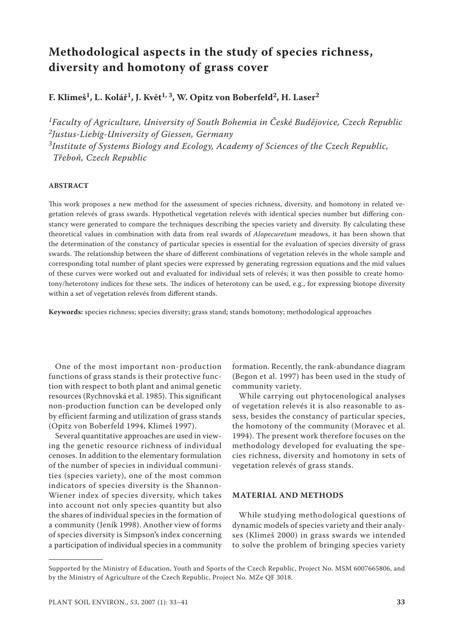# **Methodological aspects in the study of species richness, diversity and homotony of grass cover**

F. Klimeš<sup>1</sup>, L. Kolář<sup>1</sup>, J. Květ<sup>1, 3</sup>, W. Opitz von Boberfeld<sup>2</sup>, H. Laser<sup>2</sup>

*1Faculty of Agriculture, University of South Bohemia in České Budějovice, Czech Republic 2Justus-Liebig-University of Giessen, Germany 3Institute of Systems Biology and Ecology, Academy of Sciences of the Czech Republic, Třeboň, Czech Republic*

#### **ABSTRACT**

This work proposes a new method for the assessment of species richness, diversity, and homotony in related vegetation relevés of grass swards. Hypothetical vegetation relevés with identical species number but differing constancy were generated to compare the techniques describing the species variety and diversity. By calculating these theoretical values in combination with data from real swards of *Alopecuretum* meadows, it has been shown that the determination of the constancy of particular species is essential for the evaluation of species diversity of grass swards. The relationship between the share of different combinations of vegetation relevés in the whole sample and corresponding total number of plant species were expressed by generating regression equations and the mid values of these curves were worked out and evaluated for individual sets of relevés; it was then possible to create homotony/heterotony indices for these sets. The indices of heterotony can be used, e.g., for expressing biotope diversity within a set of vegetation relevés from different stands.

**Keywords:** species richness; species diversity; grass stand; stands homotony; methodological approaches

One of the most important non-production functions of grass stands is their protective function with respect to both plant and animal genetic resources (Rychnovská et al. 1985). This significant non-production function can be developed only by efficient farming and utilization of grass stands (Opitz von Boberfeld 1994, Klimeš 1997).

Several quantitative approaches are used in viewing the genetic resource richness of individual cenoses. In addition to the elementary formulation of the number of species in individual communities (species variety), one of the most common indicators of species diversity is the Shannon-Wiener index of species diversity, which takes into account not only species quantity but also the shares of individual species in the formation of a community (Jeník 1998). Another view of forms of species diversity is Simpson's index concerning a participation of individual species in a community

formation. Recently, the rank-abundance diagram (Begon et al. 1997) has been used in the study of community variety.

While carrying out phytocenological analyses of vegetation relevés it is also reasonable to assess, besides the constancy of particular species, the homotony of the community (Moravec et al. 1994). The present work therefore focuses on the methodology developed for evaluating the species richness, diversity and homotony in sets of vegetation relevés of grass stands.

#### **MATERIAL AND METHODS**

While studying methodological questions of dynamic models of species variety and their analyses (Klimeš 2000) in grass swards we intended to solve the problem of bringing species variety

Supported by the Ministry of Education, Youth and Sports of the Czech Republic, Project No. MSM 6007665806, and by the Ministry of Agriculture of the Czech Republic, Project No. MZe QF 3018.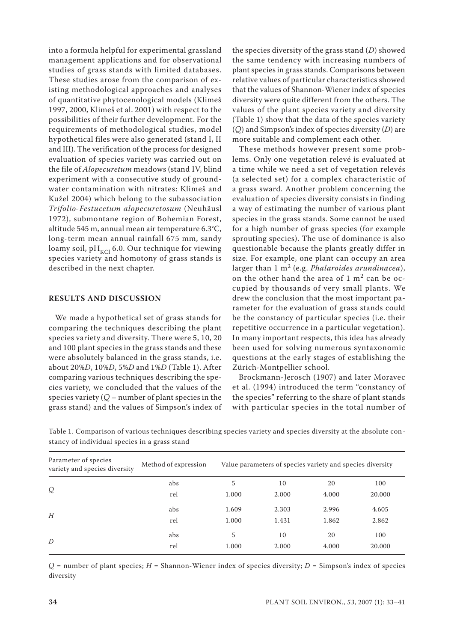into a formula helpful for experimental grassland management applications and for observational studies of grass stands with limited databases. These studies arose from the comparison of existing methodological approaches and analyses of quantitative phytocenological models (Klimeš 1997, 2000, Klimeš et al. 2001) with respect to the possibilities of their further development. For the requirements of methodological studies, model hypothetical files were also generated (stand I, II and III). The verification of the process for designed evaluation of species variety was carried out on the file of *Alopecuretum* meadows (stand IV, blind experiment with a consecutive study of groundwater contamination with nitrates: Klimeš and Kužel 2004) which belong to the subassociation *Trifolio-Festucetum alopecuretosum* (Neuhäusl 1972), submontane region of Bohemian Forest, altitude 545 m, annual mean air temperature 6.3°C, long-term mean annual rainfall 675 mm, sandy loamy soil, pH $_{KCl}$  6.0. Our technique for viewing species variety and homotony of grass stands is described in the next chapter.

### **RESULTS AND DISCUSSION**

We made a hypothetical set of grass stands for comparing the techniques describing the plant species variety and diversity. There were 5, 10, 20 and 100 plant species in the grass stands and these were absolutely balanced in the grass stands, i.e. about 20%*D*, 10%*D*, 5%*D* and 1%*D* (Table 1). After comparing various techniques describing the species variety, we concluded that the values of the species variety  $(Q -$  number of plant species in the grass stand) and the values of Simpson's index of

the species diversity of the grass stand (*D*) showed the same tendency with increasing numbers of plant species in grass stands. Comparisons between relative values of particular characteristics showed that the values of Shannon-Wiener index of species diversity were quite different from the others. The values of the plant species variety and diversity (Table 1) show that the data of the species variety (*Q*) and Simpson's index of species diversity (*D*) are more suitable and complement each other.

These methods however present some problems. Only one vegetation relevé is evaluated at a time while we need a set of vegetation relevés (a selected set) for a complex characteristic of a grass sward. Another problem concerning the evaluation of species diversity consists in finding a way of estimating the number of various plant species in the grass stands. Some cannot be used for a high number of grass species (for example sprouting species). The use of dominance is also questionable because the plants greatly differ in size. For example, one plant can occupy an area larger than 1 m2 (e.g. *Phalaroides arundinacea*), on the other hand the area of  $1 \text{ m}^2$  can be occupied by thousands of very small plants. We drew the conclusion that the most important parameter for the evaluation of grass stands could be the constancy of particular species (i.e. their repetitive occurrence in a particular vegetation). In many important respects, this idea has already been used for solving numerous syntaxonomic questions at the early stages of establishing the Zürich-Montpellier school.

Brockmann-Jerosch (1907) and later Moravec et al. (1994) introduced the term "constancy of the species" referring to the share of plant stands with particular species in the total number of

| Parameter of species<br>variety and species diversity | Method of expression | Value parameters of species variety and species diversity |       |       |        |  |  |  |  |
|-------------------------------------------------------|----------------------|-----------------------------------------------------------|-------|-------|--------|--|--|--|--|
|                                                       | abs                  | 5                                                         | 10    | 20    | 100    |  |  |  |  |
| Q                                                     | rel                  | 1.000                                                     | 2.000 | 4.000 | 20.000 |  |  |  |  |
|                                                       | abs                  | 1.609                                                     | 2.303 | 2.996 | 4.605  |  |  |  |  |
| H                                                     | rel                  | 1.000                                                     | 1.431 | 1.862 | 2.862  |  |  |  |  |
|                                                       | abs                  | 5                                                         | 10    | 20    | 100    |  |  |  |  |
| D                                                     | rel                  | 1.000                                                     | 2.000 | 4.000 | 20.000 |  |  |  |  |

Table 1. Comparison of various techniques describing species variety and species diversity at the absolute constancy of individual species in a grass stand

 $Q$  = number of plant species;  $H$  = Shannon-Wiener index of species diversity;  $D$  = Simpson's index of species diversity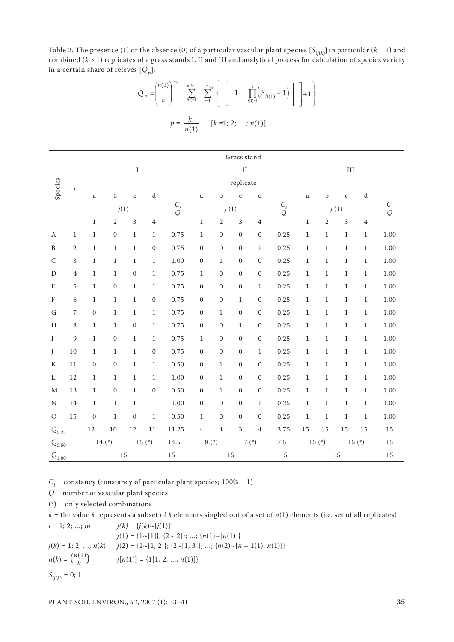Table 2. The presence (1) or the absence (0) of a particular vascular plant species  $[S_{ij(k)}]$  in particular ( $k = 1$ ) and combined (*k* > 1) replicates of a grass stands I, II and III and analytical process for calculation of species variety in a certain share of relevés [*Qp*]:

$$
Q_p = \begin{pmatrix} n(1) \\ k \end{pmatrix}^{-1} \sum_{j(k)=1}^{n(k)} \sum_{i=1}^{m_{j(k)}} \left\{ \begin{bmatrix} -1 \\ -1 \end{bmatrix} \prod_{j(1)=1}^{k} (S_{ij(1)} - 1) \middle| \end{bmatrix} + 1 \right\}
$$

$$
p = \frac{k}{n(1)} \qquad [k = 1; 2; \dots; n(1)]
$$

|                  |                | Grass stand      |                  |                     |                  |                              |                  |                  |                  |                  |                     |              |                |              |                              |          |
|------------------|----------------|------------------|------------------|---------------------|------------------|------------------------------|------------------|------------------|------------------|------------------|---------------------|--------------|----------------|--------------|------------------------------|----------|
|                  |                |                  |                  | $\rm I$<br>$\rm II$ |                  |                              |                  |                  | $\rm III$        |                  |                     |              |                |              |                              |          |
| Species          | i              | replicate        |                  |                     |                  |                              |                  |                  |                  |                  |                     |              |                |              |                              |          |
|                  |                | $\rm{a}$         | $\rm{b}$         | $\mathbf{C}$        | ${\rm d}$        |                              | $\rm{a}$         | $\rm b$          | $\mathsf{C}$     | ${\rm d}$        |                     | $\rm{a}$     | $\rm b$        | $\mathbf{C}$ | ${\rm d}$                    |          |
|                  |                |                  | j(1)             |                     |                  | $\overset{C_i}{\underset{}}$ |                  | j(1)             |                  |                  | $\stackrel{C_i}{Q}$ | j(1)         |                |              | $\overset{C_i}{\mathcal{Q}}$ |          |
|                  |                | $\,1\,$          | $\overline{2}$   | $\mathbf{3}$        | $\overline{4}$   |                              | $\,1$            | $\sqrt{2}$       | $\overline{3}$   | $\bf 4$          |                     | $\,1\,$      | $\overline{2}$ | 3            | $\,4\,$                      |          |
| $\boldsymbol{A}$ | $\,1\,$        | $1\,$            | $\mathbf 0$      | $\,1$               | $1\,$            | 0.75                         | $\,1$            | $\boldsymbol{0}$ | $\boldsymbol{0}$ | $\boldsymbol{0}$ | 0.25                | $\,1\,$      | $\,1$          | $1\,$        | $1\,$                        | 1.00     |
| $\, {\bf B}$     | $\mathbf{2}$   | $1\,$            | $\mathbf{1}$     | $\mathbf{1}$        | $\boldsymbol{0}$ | 0.75                         | $\boldsymbol{0}$ | $\boldsymbol{0}$ | $\boldsymbol{0}$ | $\,1\,$          | 0.25                | $\,1\,$      | $\,1$          | $\,1\,$      | $\mathbf{1}$                 | 1.00     |
| $\cal C$         | 3              | $\mathbf{1}$     | $\mathbf{1}$     | $\mathbf{1}$        | $\,1$            | $1.00\,$                     | $\boldsymbol{0}$ | $1\,$            | $\boldsymbol{0}$ | $\boldsymbol{0}$ | 0.25                | $\,1\,$      | $\,1$          | $1\,$        | $1\,$                        | 1.00     |
| ${\rm D}$        | $\overline{4}$ | $\mathbf{1}$     | $\mathbf{1}$     | $\boldsymbol{0}$    | $\,1$            | 0.75                         | $\mathbf{1}$     | $\boldsymbol{0}$ | $\boldsymbol{0}$ | $\boldsymbol{0}$ | 0.25                | $\,1\,$      | $\mathbf{1}$   | $\,1$        | $\,1$                        | $1.00\,$ |
| $\mathbf E$      | 5              | $\mathbf{1}$     | $\boldsymbol{0}$ | $\mathbf 1$         | $\,1$            | 0.75                         | $\boldsymbol{0}$ | $\boldsymbol{0}$ | $\boldsymbol{0}$ | $\,1\,$          | 0.25                | $\,1\,$      | $\,1$          | $\,1\,$      | $\,1\,$                      | 1.00     |
| $\rm F$          | 6              | $\mathbf{1}$     | $\mathbf{1}$     | $\mathbf 1$         | $\boldsymbol{0}$ | 0.75                         | $\boldsymbol{0}$ | $\boldsymbol{0}$ | $\mathbf{1}$     | $\boldsymbol{0}$ | 0.25                | $\,1\,$      | $\mathbf{1}$   | $1\,$        | $1\,$                        | 1.00     |
| G                | $\overline{7}$ | $\boldsymbol{0}$ | $\mathbf{1}$     | $\mathbf{1}$        | $\,1$            | 0.75                         | $\boldsymbol{0}$ | $1\,$            | $\boldsymbol{0}$ | $\boldsymbol{0}$ | 0.25                | $\,1\,$      | $\,1\,$        | $\,1\,$      | $1\,$                        | 1.00     |
| H                | $\,8\,$        | $1\,$            | $\mathbf{1}$     | $\boldsymbol{0}$    | $\,1$            | 0.75                         | $\boldsymbol{0}$ | $\boldsymbol{0}$ | $\mathbf{1}$     | $\boldsymbol{0}$ | 0.25                | $\,1\,$      | $\mathbf{1}$   | $1\,$        | $\mathbf{1}$                 | 1.00     |
| $\rm I$          | 9              | $1\,$            | $\boldsymbol{0}$ | $\mathbf{1}$        | $\mathbf{1}$     | 0.75                         | $\mathbf{1}$     | $\boldsymbol{0}$ | $\boldsymbol{0}$ | $\boldsymbol{0}$ | 0.25                | $\,1\,$      | $\mathbf{1}$   | $\,1\,$      | $1\,$                        | 1.00     |
| $\boldsymbol{J}$ | $10\,$         | $\mathbf{1}$     | $\mathbf{1}$     | $\mathbf{1}$        | $\boldsymbol{0}$ | $0.75\,$                     | $\boldsymbol{0}$ | $\boldsymbol{0}$ | $\boldsymbol{0}$ | $\,1\,$          | 0.25                | $\,1$        | $\,1$          | $\,1\,$      | $\mathbf{1}$                 | $1.00\,$ |
| ${\bf K}$        | 11             | $\boldsymbol{0}$ | $\boldsymbol{0}$ | $\mathbf 1$         | $\,1\,$          | 0.50                         | $\boldsymbol{0}$ | $\,1$            | $\boldsymbol{0}$ | $\boldsymbol{0}$ | 0.25                | $\,1\,$      | $\,1\,$        | $\,1\,$      | $1\,$                        | 1.00     |
| L                | 12             | $\mathbf{1}$     | $\mathbf{1}$     | $\mathbf{1}$        | $\mathbf{1}$     | 1.00                         | $\boldsymbol{0}$ | $\mathbf{1}$     | $\boldsymbol{0}$ | $\boldsymbol{0}$ | 0.25                | $\,1\,$      | $\mathbf 1$    | $\,1\,$      | $1\,$                        | 1.00     |
| $\mathbf M$      | 13             | $\mathbf{1}$     | $\boldsymbol{0}$ | $\mathbf{1}$        | $\boldsymbol{0}$ | 0.50                         | $\boldsymbol{0}$ | $1\,$            | $\boldsymbol{0}$ | $\boldsymbol{0}$ | 0.25                | $\,1\,$      | $\,1$          | $1\,$        | $\mathbf{1}$                 | 1.00     |
| ${\rm N}$        | 14             | $1\,$            | $\mathbf{1}$     | $\mathbf{1}$        | $\,1\,$          | 1.00                         | $\boldsymbol{0}$ | $\boldsymbol{0}$ | $\boldsymbol{0}$ | $\,1\,$          | 0.25                | $\,1\,$      | $\,1$          | $\,1$        | $\,1\,$                      | 1.00     |
| ${\cal O}$       | 15             | $\boldsymbol{0}$ | $\mathbf{1}$     | $\boldsymbol{0}$    | $\,1$            | 0.50                         | $\,1$            | $\boldsymbol{0}$ | $\boldsymbol{0}$ | $\boldsymbol{0}$ | 0.25                | $\mathbf{1}$ | $\,1$          | $1\,$        | $\,1\,$                      | $1.00\,$ |
| $Q_{0.25}$       |                | $12\,$           | $10\,$           | 12                  | 11               | $11.25\,$                    | $\,4\,$          | $\,4\,$          | $\mathbf{3}$     | $\,4\,$          | 3.75                | 15           | 15             | 15           | $15\,$                       | $15\,$   |
| $Q_{\rm 0.50}$   |                |                  | $14$ $(*)$       |                     | $15$ $(*)$       | 14.5                         | $8(*)$           |                  |                  | $7(*)$           | $7.5\,$             |              | $15$ $(*)$     |              | $15$ $(*)$                   | $15\,$   |
| $Q_{1.00}$       |                |                  | $15\,$           |                     |                  | $15\,$                       |                  | 15               |                  |                  | 15                  |              |                | 15           |                              | $15\,$   |

 $C_i$  = constancy (constancy of particular plant species;  $100\% = 1$ )

*Q* = number of vascular plant species

(\*) = only selected combinations

 $k =$  the value *k* represents a subset of *k* elements singled out of a set of  $n(1)$  elements (i.e. set of all replicates)  $i = 1; 2; ...; m$   $j(k) = \{j(k) \sim [j(1)]\}$  $j(1) = \{1 \sim [1]\}; \{2 \sim [2]\}; \ldots; \{n(1) \sim [n(1)]\}$  $j(k) = 1; 2; ...; n(k)$   $j(2) = \{1-[1, 2] \}; \{2-[1, 3] \}; ...; \{n(2)-(n-1(1), n(1)]\}$ *<sup>n</sup>*(*k*) = (  $j[n(1)] = \{1[1, 2, ..., n(1)]\}$  $\lambda_k$  $S_{ij(k)} = 0; 1$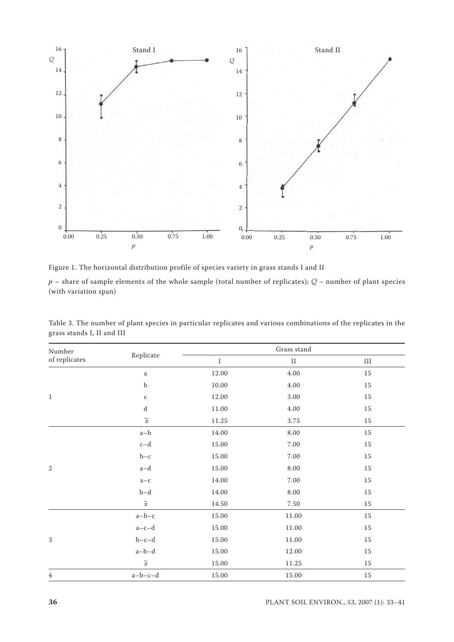

Figure 1. The horizontal distribution profile of species variety in grass stands I and II

*p* – share of sample elements of the whole sample (total number of replicates); *Q* – number of plant species (with variation span)

| Number         | Replicate                             | Grass stand |           |           |  |  |  |
|----------------|---------------------------------------|-------------|-----------|-----------|--|--|--|
| of replicates  |                                       | $\rm I$     | $\rm II$  | $\rm III$ |  |  |  |
|                | $\rm{a}$                              | 12.00       | 4.00      | $15\,$    |  |  |  |
|                | $\mathbf b$                           | $10.00\,$   | $4.00\,$  | $15\,$    |  |  |  |
| $\mathbf{1}$   | $\mathbf C$                           | 12.00       | $3.00\,$  | $15\,$    |  |  |  |
|                | ${\rm d}$                             | $11.00\,$   | $4.00\,$  | $15\,$    |  |  |  |
|                | $\overline{\mathcal{X}}$              | $11.25\,$   | 3.75      | $15\,$    |  |  |  |
|                | $a-b$                                 | 14.00       | 8.00      | $15\,$    |  |  |  |
|                | $c-d$                                 | 15.00       | 7.00      | $15\,$    |  |  |  |
| $\overline{2}$ | $b-c$                                 | 15.00       | $7.00\,$  | $15\,$    |  |  |  |
|                | $a-d$                                 | 15.00       | $8.00\,$  | $15\,$    |  |  |  |
|                | $a-c$                                 | 14.00       | 7.00      | $15\,$    |  |  |  |
|                | $b-d$                                 | 14.00       | $8.00\,$  | $15\,$    |  |  |  |
|                | $\overline{\mathcal{X}}$              | 14.50       | 7.50      | $15\,$    |  |  |  |
| 3              | $a-b-c$                               | $15.00\,$   | $11.00\,$ | $15\,$    |  |  |  |
|                | $a-c-d$                               | 15.00       | $11.00\,$ | $15\,$    |  |  |  |
|                | $b-c-d$                               | 15.00       | $11.00\,$ | $15\,$    |  |  |  |
|                | $a-b-d$                               | 15.00       | 12.00     | $15\,$    |  |  |  |
|                | $\overline{\mathcal{X}}$              | 15.00       | $11.25\,$ | $15\,$    |  |  |  |
| $\overline{4}$ | $\mbox{a}-\mbox{b}-\mbox{c}-\mbox{d}$ | 15.00       | 15.00     | $15\,$    |  |  |  |

Table 3. The number of plant species in particular replicates and various combinations of the replicates in the grass stands I, II and III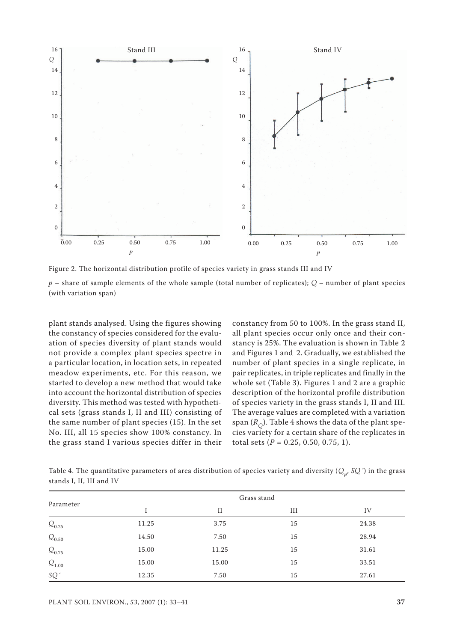

Figure 2. The horizontal distribution profile of species variety in grass stands III and IV

*p* – share of sample elements of the whole sample (total number of replicates); *Q* – number of plant species (with variation span)

plant stands analysed. Using the figures showing the constancy of species considered for the evaluation of species diversity of plant stands would not provide a complex plant species spectre in a particular location, in location sets, in repeated meadow experiments, etc. For this reason, we started to develop a new method that would take into account the horizontal distribution of species diversity. This method was tested with hypothetical sets (grass stands I, II and III) consisting of the same number of plant species (15). In the set No. III, all 15 species show 100% constancy. In the grass stand I various species differ in their constancy from 50 to 100%. In the grass stand II, all plant species occur only once and their constancy is 25%. The evaluation is shown in Table 2 and Figures 1 and 2. Gradually, we established the number of plant species in a single replicate, in pair replicates, in triple replicates and finally in the whole set (Table 3). Figures 1 and 2 are a graphic description of the horizontal profile distribution of species variety in the grass stands I, II and III. The average values are completed with a variation span  $(R<sub>O</sub>)$ . Table 4 shows the data of the plant species variety for a certain share of the replicates in total sets ( $P = 0.25, 0.50, 0.75, 1$ ).

| Parameter      | Grass stand |       |    |       |  |  |  |  |
|----------------|-------------|-------|----|-------|--|--|--|--|
|                |             | П     | Ш  | IV    |  |  |  |  |
| $Q_{0.25}$     | 11.25       | 3.75  | 15 | 24.38 |  |  |  |  |
| $Q_{\rm 0.50}$ | 14.50       | 7.50  | 15 | 28.94 |  |  |  |  |
| $Q_{\rm 0.75}$ | 15.00       | 11.25 | 15 | 31.61 |  |  |  |  |
| $Q_{\rm 1.00}$ | 15.00       | 15.00 | 15 | 33.51 |  |  |  |  |
| SQ'            | 12.35       | 7.50  | 15 | 27.61 |  |  |  |  |

Table 4. The quantitative parameters of area distribution of species variety and diversity ( $Q_p$ ,  $SQ$ ) in the grass stands I, II, III and IV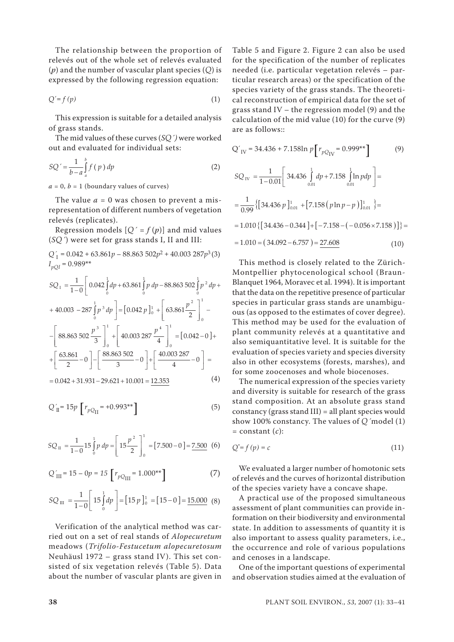The relationship between the proportion of relevés out of the whole set of relevés evaluated (*p*) and the number of vascular plant species (*Q*) is expressed by the following regression equation:

$$
Q' = f(p) \tag{1}
$$

This expression is suitable for a detailed analysis of grass stands.

The mid values of these curves (*SQ´)* were worked out and evaluated for individual sets:

$$
SQ' = \frac{1}{b-a} \int_{a}^{b} f(p) \, dp \tag{2}
$$

 $a = 0, b = 1$  (boundary values of curves)

The value  $a = 0$  was chosen to prevent a misrepresentation of different numbers of vegetation relevés (replicates).

Regression models  $[Q' = f(p)]$  and mid values (*SQ´*) were set for grass stands I, II and III:

 $Q'_{I} = 0.042 + 63.861p - 88.863502p^{2} + 40.003287p^{3}(3)$  $I_{pQI} = 0.989**$ 

$$
SQ_{1} = \frac{1}{1-0} \left[ 0.042 \int_{0}^{1} dp + 63.861 \int_{0}^{1} p dp - 88.863 \, 502 \int_{0}^{1} p^{2} dp + 40.003 - 287 \int_{0}^{1} p^{3} dp \right] = \left[ 0.042 p \right]_{0}^{1} + \left[ 63.861 \frac{p^{2}}{2} \right]_{0}^{1} - \left[ 88.863 \, 502 \frac{p^{3}}{3} \right]_{0}^{1} + \left[ 40.003 \, 287 \frac{p^{4}}{4} \right]_{0}^{1} = \left[ 0.042 - 0 \right] + \left[ \frac{63.861}{2} - 0 \right] - \left[ \frac{88.863 \, 502}{3} - 0 \right] + \left[ \frac{40.003 \, 287}{4} - 0 \right] = \left[ 0.042 + 31.931 - 29.621 + 10.001 = \frac{12.353}{4} \right] \tag{4}
$$

$$
Q'_{II} = 15p \left[ r_{pQ_{II}} = +0.993^{**} \right]
$$
 (5)

$$
SQ_{\text{II}} = \frac{1}{1-0} 15 \int_{0}^{1} p \, dp = \left[ 15 \frac{p^2}{2} \right]_{0}^{1} = [7.500 - 0] = 7.500 \tag{6}
$$

$$
Q'_{\text{III}} = 15 - 0p = 15 \left[ r_{pQ_{\text{III}}} = 1.000^{**} \right] \tag{7}
$$

$$
SQ_{\text{III}} = \frac{1}{1-0} \left[ 15 \int_0^1 dp \right] = [15 p]_0^1 = [15 - 0] = \underline{15.000} \tag{8}
$$

Verification of the analytical method was carried out on a set of real stands of *Alopecuretum*  meadows (*Trifolio-Festucetum alopecuretosum* Neuhäusl 1972 – grass stand IV). This set consisted of six vegetation relevés (Table 5). Data about the number of vascular plants are given in

Table 5 and Figure 2. Figure 2 can also be used for the specification of the number of replicates needed (i.e. particular vegetation relevés – particular research areas) or the specification of the species variety of the grass stands. The theoretical reconstruction of empirical data for the set of grass stand IV – the regression model (9) and the calculation of the mid value (10) for the curve (9) are as follows::

$$
Q'_{IV} = 34.436 + 7.158 \ln p \left[ r_{pQ_{IV}} = 0.999^{**} \right]
$$
 (9)

$$
SQ_{\text{IV}} = \frac{1}{1 - 0.01} \left[ 34.436 \int_{0.01}^{1} dp + 7.158 \int_{0.01}^{1} \ln p dp \right] =
$$
  
=  $\frac{1}{0.99} \{ [34.436 p]_{0.01}^{1} + [7.158 (p \ln p - p)]_{0.01}^{1} \} =$   
= 1.010 { [34.436 - 0.344] + [-7.158 - (-0.056 × 7.158)] } =  
= 1.010 = (34.092 - 6.757) = 27.608 (10)

This method is closely related to the Zürich-Montpellier phytocenological school (Braun-Blanquet 1964, Moravec et al. 1994). It is important that the data on the repetitive presence of particular species in particular grass stands are unambiguous (as opposed to the estimates of cover degree). This method may be used for the evaluation of plant community relevés at a quantitative and also semiquantitative level. It is suitable for the evaluation of species variety and species diversity also in other ecosystems (forests, marshes), and for some zoocenoses and whole biocenoses.

The numerical expression of the species variety and diversity is suitable for research of the grass stand composition. At an absolute grass stand constancy (grass stand III) = all plant species would show 100% constancy. The values of *Q´*model (1)  $=$  constant  $(c)$ :

$$
Q' = f(p) = c \tag{11}
$$

We evaluated a larger number of homotonic sets of relevés and the curves of horizontal distribution of the species variety have a concave shape.

A practical use of the proposed simultaneous assessment of plant communities can provide information on their biodiversity and environmental state. In addition to assessments of quantity it is also important to assess quality parameters, i.e., the occurrence and role of various populations and cenoses in a landscape.

One of the important questions of experimental and observation studies aimed at the evaluation of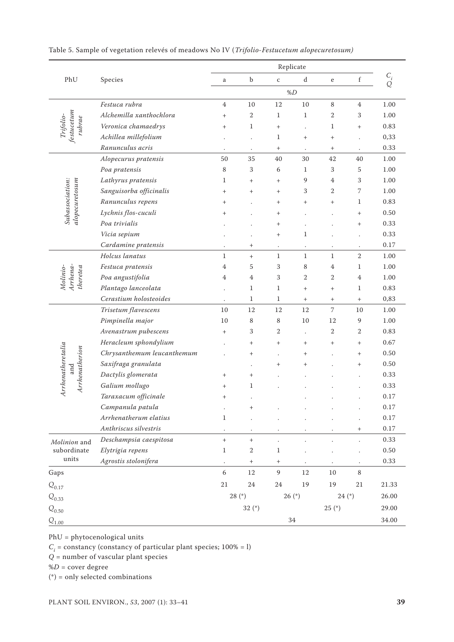|                                            | Species                    |                          | Replicate    |                                  |                      |                |                      |                                         |  |  |
|--------------------------------------------|----------------------------|--------------------------|--------------|----------------------------------|----------------------|----------------|----------------------|-----------------------------------------|--|--|
| PhU                                        |                            | a                        | b            | $\mathbf C$                      | d                    | e              | f                    | $\overset{C_i}{\underset{Q}{\bigcirc}}$ |  |  |
|                                            |                            |                          | $\%D$        |                                  |                      |                |                      |                                         |  |  |
|                                            | Festuca rubra              | $\overline{4}$           | 10           | 12                               | 10                   | 8              | 4                    | 1.00                                    |  |  |
| festucetum<br>Trifolio-<br>rubrae          | Alchemilla xanthochlora    | $^{+}$                   | 2            | 1                                | $\mathbf{1}$         | 2              | 3                    | 1.00                                    |  |  |
|                                            | Veronica chamaedrys        | $^{+}$                   | $\mathbf{1}$ | $\begin{array}{c} + \end{array}$ | $\ddot{\phantom{0}}$ | 1              | $^+$                 | 0.83                                    |  |  |
|                                            | Achillea millefolium       |                          |              | 1                                | $^{+}$               | $^{+}$         | $\ddot{\phantom{0}}$ | 0,33                                    |  |  |
|                                            | Ranunculus acris           | $\bullet$                | ٠            | $\begin{array}{c} + \end{array}$ | $\bullet$            | $^{+}$         | $\bullet$            | 0.33                                    |  |  |
|                                            | Alopecurus pratensis       | 50                       | 35           | 40                               | 30                   | 42             | 40                   | 1.00                                    |  |  |
|                                            | Poa pratensis              | 8                        | 3            | 6                                | 1                    | 3              | 5                    | 1.00                                    |  |  |
|                                            | Lathyrus pratensis         | 1                        | $^{+}$       | $\begin{array}{c} + \end{array}$ | 9                    | 4              | 3                    | 1.00                                    |  |  |
| Subassociation:<br>alopecuretosum          | Sanguisorba officinalis    | $^{+}$                   | $^{+}$       | $^{+}$                           | 3                    | 2              | 7                    | 1.00                                    |  |  |
|                                            | Ranunculus repens          | $^{+}$                   |              | $^{+}$                           | $^+$                 | $^{+}$         | 1                    | 0.83                                    |  |  |
|                                            | Lychnis flos-cuculi        | $^{+}$                   |              | $^{+}$                           |                      |                | $\! + \!\!\!\!$      | 0.50                                    |  |  |
|                                            | Poa trivialis              |                          |              | $^{+}$                           |                      |                | $^{+}$               | 0.33                                    |  |  |
|                                            | Vicia sepium               |                          |              | $^{+}$                           | $\mathbf{1}$         |                | $\ddot{\phantom{0}}$ | 0.33                                    |  |  |
|                                            | Cardamine pratensis        |                          | $\! +$       | $\bullet$                        | $\bullet$            |                | $\bullet$            | 0.17                                    |  |  |
|                                            | Holcus lanatus             | 1                        | $^{+}$       | $\mathbf{1}$                     | $\mathbf{1}$         | $\mathbf{1}$   | $\overline{2}$       | 1.00                                    |  |  |
|                                            | Festuca pratensis          | 4                        | 5            | 3                                | 8                    | 4              | 1                    | 1.00                                    |  |  |
| Arrhena-<br>Molinio-<br>theretea           | Poa angustifolia           | 4                        | 4            | 3                                | $\boldsymbol{2}$     | 2              | $\overline{4}$       | 1.00                                    |  |  |
|                                            | Plantago lanceolata        |                          | 1            | $\mathbf{1}$                     | $^{+}$               | $^{+}$         | $\mathbf{1}$         | 0.83                                    |  |  |
|                                            | Cerastium holosteoides     | $\bullet$                | 1            | 1                                | $^{+}$               | $^{+}$         | $^{+}$               | 0,83                                    |  |  |
|                                            | Trisetum flavescens        | 10                       | 12           | 12                               | 12                   | $\overline{7}$ | 10                   | 1.00                                    |  |  |
|                                            | Pimpinella major           | 10                       | 8            | $\,8\,$                          | 10                   | 12             | 9                    | 1.00                                    |  |  |
|                                            | Avenastrum pubescens       | $^{+}$                   | 3            | 2                                |                      | 2              | $\boldsymbol{2}$     | 0.83                                    |  |  |
|                                            | Heracleum sphondylium      | $\overline{\phantom{a}}$ | $\! +$       | $^{+}$                           | $\! + \!\!\!\!$      | $^{+}$         | $^{+}$               | 0.67                                    |  |  |
|                                            | Chrysanthemum leucanthemum |                          | $\! +$       |                                  | $\! +$               |                | $\! +$               | 0.50                                    |  |  |
| Arrhenatheretalia<br>Arrhenatherion<br>and | Saxifraga granulata        |                          |              | $^{+}$                           | $^{+}$               |                | $^{+}$               | 0.50                                    |  |  |
|                                            | Dactylis glomerata         | $^{+}$                   | $^{+}$       |                                  |                      |                |                      | 0.33                                    |  |  |
|                                            | Galium mollugo             | $^{+}$                   | 1            |                                  |                      |                |                      | 0.33                                    |  |  |
|                                            | Taraxacum officinale       | $^{+}$                   |              |                                  |                      |                |                      | 0.17                                    |  |  |
|                                            | Campanula patula           |                          | $^{+}$       |                                  |                      |                |                      | 0.17                                    |  |  |
|                                            | Arrhenatherum elatius      | 1                        |              |                                  |                      |                |                      | 0.17                                    |  |  |
|                                            | Anthriscus silvestris      | $\bullet$                |              |                                  |                      |                | $^{+}$               | 0.17                                    |  |  |
| Molinion and                               | Deschampsia caespitosa     | $+$                      | $\! + \!$    | $\bullet$                        |                      |                |                      | 0.33                                    |  |  |
| subordinate<br>units                       | Elytrigia repens           | $\mathbf{1}$             | $\,2$        | $\mathbf{1}$                     |                      |                |                      | $0.50\,$                                |  |  |
|                                            | Agrostis stolonifera       | $\bullet$                | $^+$         | $^{+}$                           |                      |                | $\ddot{\phantom{0}}$ | 0.33                                    |  |  |
| Gaps                                       |                            | 6                        | 12           | $\overline{9}$                   | 12                   | 10             | 8                    |                                         |  |  |
| $Q_{0.17}$                                 |                            | $21\,$                   | 24           | 24                               | 19                   | 19             | 21                   | 21.33                                   |  |  |
| $Q_{0.33}$                                 |                            |                          | $28 (*)$     |                                  | $26 (*)$             |                | $24 (*)$             | 26.00                                   |  |  |
| $Q_{0.50}$                                 |                            |                          | $32 (*)$     |                                  |                      | $25 (*)$       |                      | 29.00                                   |  |  |
| $Q_{1.00}$                                 |                            | 34                       |              |                                  |                      | 34.00          |                      |                                         |  |  |

## Table 5. Sample of vegetation relevés of meadows No IV (*Trifolio*-*Festucetum alopecuretosum)*

PhU = phytocenological units

 $C_i$  = constancy (constancy of particular plant species;  $100\%$  = l)

*Q* = number of vascular plant species

%*D* = cover degree

(\*) = only selected combinations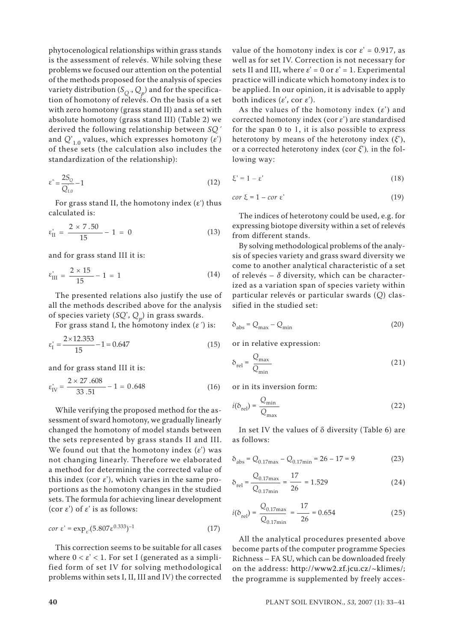phytocenological relationships within grass stands is the assessment of relevés. While solving these problems we focused our attention on the potential of the methods proposed for the analysis of species variety distribution  $(S_Q, Q_p)$  and for the specification of homotony of relevés. On the basis of a set with zero homotony (grass stand II) and a set with absolute homotony (grass stand III) (Table 2) we derived the following relationship between *SQ´* and *Q*' 1.0 values, which expresses homotony (*ε*') of these sets (the calculation also includes the standardization of the relationship):

$$
\varepsilon^* = \frac{2S_Q}{Q_{1.0}'} - 1\tag{12}
$$

For grass stand II, the homotony index  $(\varepsilon)$  thus calculated is:

$$
\varepsilon_{\text{II}}^{\prime} = \frac{2 \times 7.50}{15} - 1 = 0 \tag{13}
$$

and for grass stand III it is:

$$
\varepsilon'_{\text{III}} = \frac{2 \times 15}{15} - 1 = 1 \tag{14}
$$

The presented relations also justify the use of all the methods described above for the analysis of species variety  $(SQ', Q_p)$  in grass swards.

For grass stand I, the homotony index (*ε´*) is:

$$
\varepsilon_{I}^{\prime} = \frac{2 \times 12.353}{15} - 1 = 0.647\tag{15}
$$

and for grass stand III it is:

$$
\varepsilon_{\text{IV}}^{\text{+}} = \frac{2 \times 27.608}{33.51} - 1 = 0.648\tag{16}
$$

While verifying the proposed method for the assessment of sward homotony, we gradually linearly changed the homotony of model stands between the sets represented by grass stands II and III. We found out that the homotony index (*ε*') was not changing linearly. Therefore we elaborated a method for determining the corrected value of this index (cor *ε*'), which varies in the same proportions as the homotony changes in the studied sets. The formula for achieving linear development (cor *ε*') of *ε*' is as follows:

$$
cor \varepsilon' = \exp_{\varepsilon'}(5.807\varepsilon^{0.333})^{-1}
$$
 (17)

This correction seems to be suitable for all cases where  $0 < \varepsilon' < 1$ . For set I (generated as a simplified form of set IV for solving methodological problems within sets I, II, III and IV) the corrected value of the homotony index is cor  $\varepsilon' = 0.917$ , as well as for set IV. Correction is not necessary for sets II and III, where  $\varepsilon' = 0$  or  $\varepsilon' = 1$ . Experimental practice will indicate which homotony index is to be applied. In our opinion, it is advisable to apply both indices (*ε*', cor *ε*').

As the values of the homotony index  $(\varepsilon')$  and corrected homotony index (cor *ε*') are standardised for the span 0 to 1, it is also possible to express heterotony by means of the heterotony index (*ξ*'), or a corrected heterotony index (cor *ξ*')*,* in the following way:

$$
\xi' = 1 - \varepsilon' \tag{18}
$$

$$
cor \xi = 1 - cor \varepsilon' \tag{19}
$$

The indices of heterotony could be used, e.g. for expressing biotope diversity within a set of relevés from different stands.

By solving methodological problems of the analysis of species variety and grass sward diversity we come to another analytical characteristic of a set of relevés –  $\delta$  diversity, which can be characterized as a variation span of species variety within particular relevés or particular swards (*Q*) classified in the studied set:

$$
\delta_{\text{abs}} = Q_{\text{max}} - Q_{\text{min}} \tag{20}
$$

or in relative expression:

$$
\delta_{\text{rel}} = \frac{Q_{\text{max}}}{Q_{\text{min}}} \tag{21}
$$

or in its inversion form:

$$
i(\delta_{\text{rel}}) = \frac{Q_{\text{min}}}{Q_{\text{max}}} \tag{22}
$$

In set IV the values of δ diversity (Table 6) are as follows:

$$
\delta_{\text{abs}} = Q_{0.17 \text{max}} - Q_{0.17 \text{min}} = 26 - 17 = 9 \tag{23}
$$

$$
\delta_{\text{rel}} = \frac{Q_{0.17\text{max}}}{Q_{0.17\text{min}}} = \frac{17}{26} = 1.529\tag{24}
$$

$$
i(\delta_{\text{rel}}) = \frac{Q_{0.17\text{max}}}{Q_{0.17\text{min}}} = \frac{17}{26} = 0.654
$$
 (25)

All the analytical procedures presented above become parts of the computer programme Species Richness – FA SU, which can be downloaded freely on the address: http://www2.zf.jcu.cz/~klimes/; the programme is supplemented by freely acces